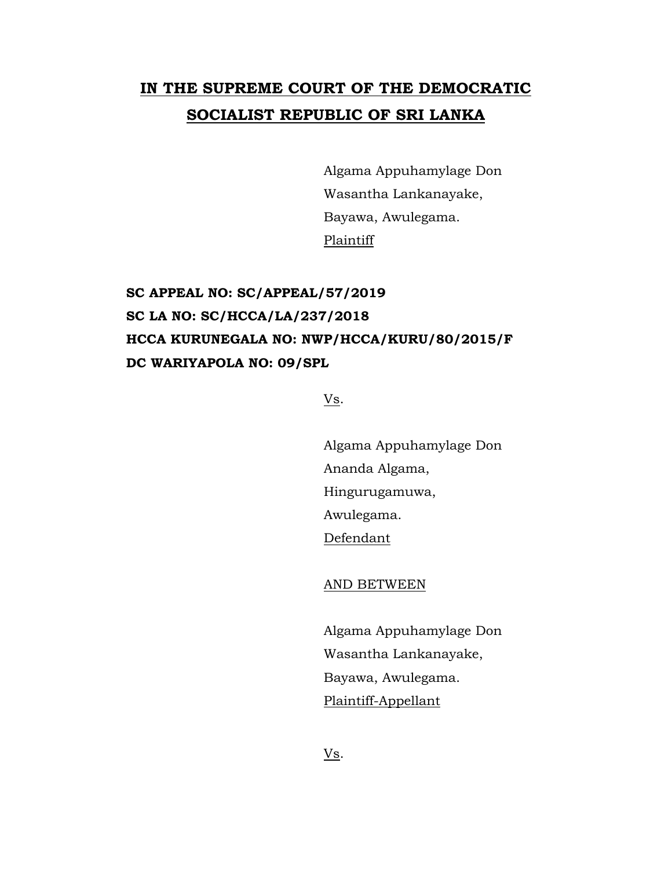## **IN THE SUPREME COURT OF THE DEMOCRATIC SOCIALIST REPUBLIC OF SRI LANKA**

Algama Appuhamylage Don Wasantha Lankanayake, Bayawa, Awulegama. Plaintiff

## **SC APPEAL NO: SC/APPEAL/57/2019 SC LA NO: SC/HCCA/LA/237/2018 HCCA KURUNEGALA NO: NWP/HCCA/KURU/80/2015/F DC WARIYAPOLA NO: 09/SPL**

Vs.

Algama Appuhamylage Don Ananda Algama, Hingurugamuwa, Awulegama. Defendant

AND BETWEEN

Algama Appuhamylage Don Wasantha Lankanayake, Bayawa, Awulegama. Plaintiff-Appellant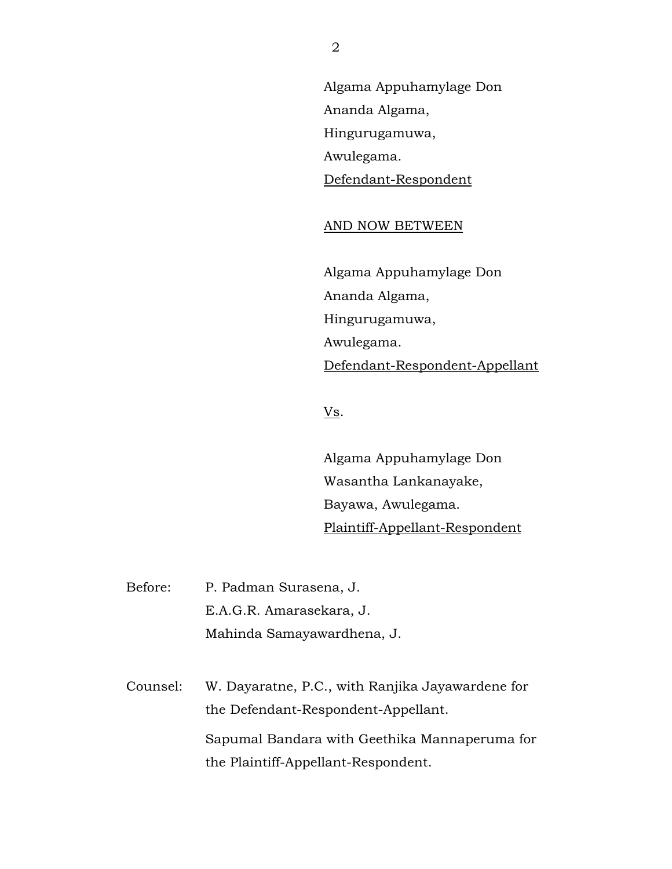Algama Appuhamylage Don Ananda Algama, Hingurugamuwa, Awulegama. Defendant-Respondent

## AND NOW BETWEEN

Algama Appuhamylage Don Ananda Algama, Hingurugamuwa, Awulegama. Defendant-Respondent-Appellant

Vs.

Algama Appuhamylage Don Wasantha Lankanayake, Bayawa, Awulegama. Plaintiff-Appellant-Respondent

Before: P. Padman Surasena, J. E.A.G.R. Amarasekara, J. Mahinda Samayawardhena, J.

Counsel: W. Dayaratne, P.C., with Ranjika Jayawardene for the Defendant-Respondent-Appellant. Sapumal Bandara with Geethika Mannaperuma for the Plaintiff-Appellant-Respondent.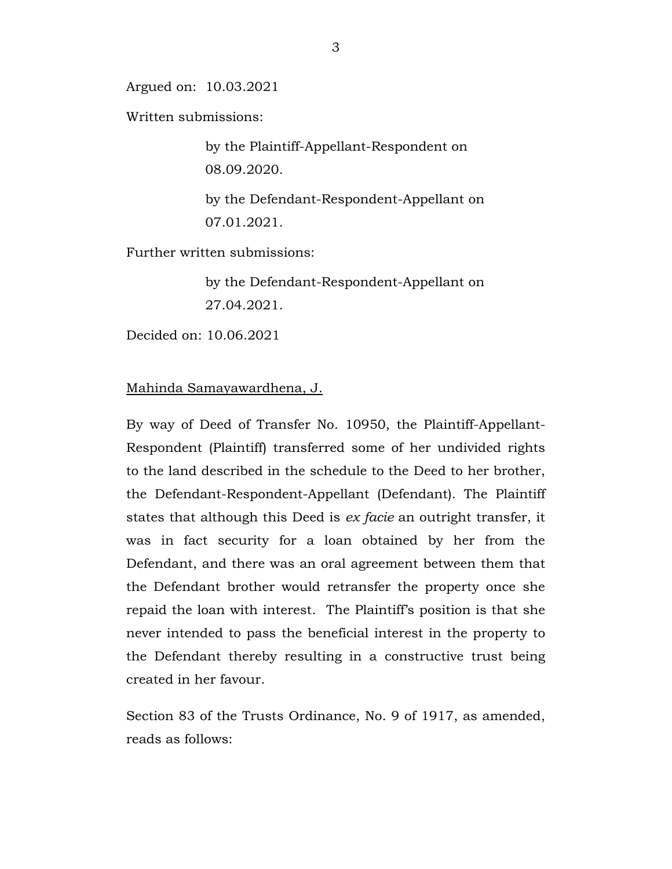Argued on: 10.03.2021

Written submissions:

by the Plaintiff-Appellant-Respondent on 08.09.2020.

by the Defendant-Respondent-Appellant on 07.01.2021.

Further written submissions:

by the Defendant-Respondent-Appellant on 27.04.2021.

Decided on: 10.06.2021

## Mahinda Samayawardhena, J.

By way of Deed of Transfer No. 10950, the Plaintiff-Appellant-Respondent (Plaintiff) transferred some of her undivided rights to the land described in the schedule to the Deed to her brother, the Defendant-Respondent-Appellant (Defendant). The Plaintiff states that although this Deed is *ex facie* an outright transfer, it was in fact security for a loan obtained by her from the Defendant, and there was an oral agreement between them that the Defendant brother would retransfer the property once she repaid the loan with interest. The Plaintiff's position is that she never intended to pass the beneficial interest in the property to the Defendant thereby resulting in a constructive trust being created in her favour.

Section 83 of the Trusts Ordinance, No. 9 of 1917, as amended, reads as follows: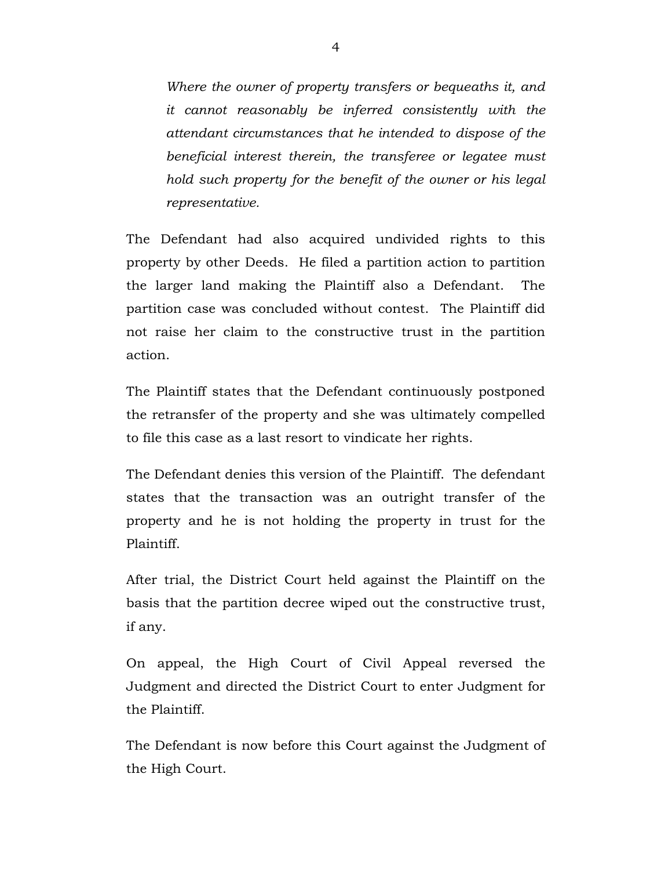*Where the owner of property transfers or bequeaths it, and it cannot reasonably be inferred consistently with the attendant circumstances that he intended to dispose of the beneficial interest therein, the transferee or legatee must hold such property for the benefit of the owner or his legal representative.*

The Defendant had also acquired undivided rights to this property by other Deeds. He filed a partition action to partition the larger land making the Plaintiff also a Defendant. The partition case was concluded without contest. The Plaintiff did not raise her claim to the constructive trust in the partition action.

The Plaintiff states that the Defendant continuously postponed the retransfer of the property and she was ultimately compelled to file this case as a last resort to vindicate her rights.

The Defendant denies this version of the Plaintiff. The defendant states that the transaction was an outright transfer of the property and he is not holding the property in trust for the Plaintiff.

After trial, the District Court held against the Plaintiff on the basis that the partition decree wiped out the constructive trust, if any.

On appeal, the High Court of Civil Appeal reversed the Judgment and directed the District Court to enter Judgment for the Plaintiff.

The Defendant is now before this Court against the Judgment of the High Court.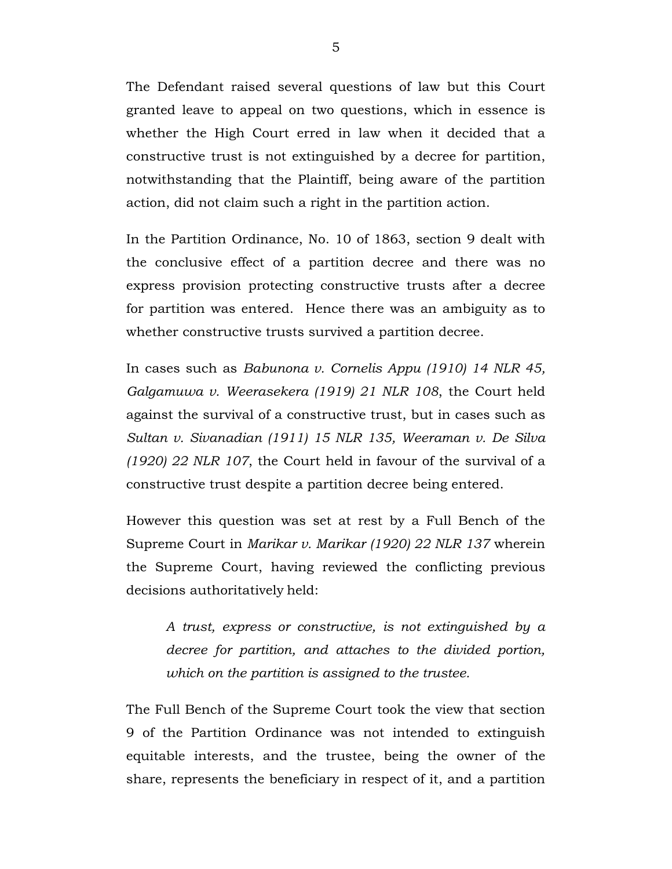The Defendant raised several questions of law but this Court granted leave to appeal on two questions, which in essence is whether the High Court erred in law when it decided that a constructive trust is not extinguished by a decree for partition, notwithstanding that the Plaintiff, being aware of the partition action, did not claim such a right in the partition action.

In the Partition Ordinance, No. 10 of 1863, section 9 dealt with the conclusive effect of a partition decree and there was no express provision protecting constructive trusts after a decree for partition was entered. Hence there was an ambiguity as to whether constructive trusts survived a partition decree.

In cases such as *Babunona v. Cornelis Appu (1910) 14 NLR 45, Galgamuwa v. Weerasekera (1919) 21 NLR 108*, the Court held against the survival of a constructive trust, but in cases such as *Sultan v. Sivanadian (1911) 15 NLR 135, Weeraman v. De Silva (1920) 22 NLR 107*, the Court held in favour of the survival of a constructive trust despite a partition decree being entered.

However this question was set at rest by a Full Bench of the Supreme Court in *Marikar v. Marikar (1920) 22 NLR 137* wherein the Supreme Court, having reviewed the conflicting previous decisions authoritatively held:

*A trust, express or constructive, is not extinguished by a decree for partition, and attaches to the divided portion, which on the partition is assigned to the trustee.*

The Full Bench of the Supreme Court took the view that section 9 of the Partition Ordinance was not intended to extinguish equitable interests, and the trustee, being the owner of the share, represents the beneficiary in respect of it, and a partition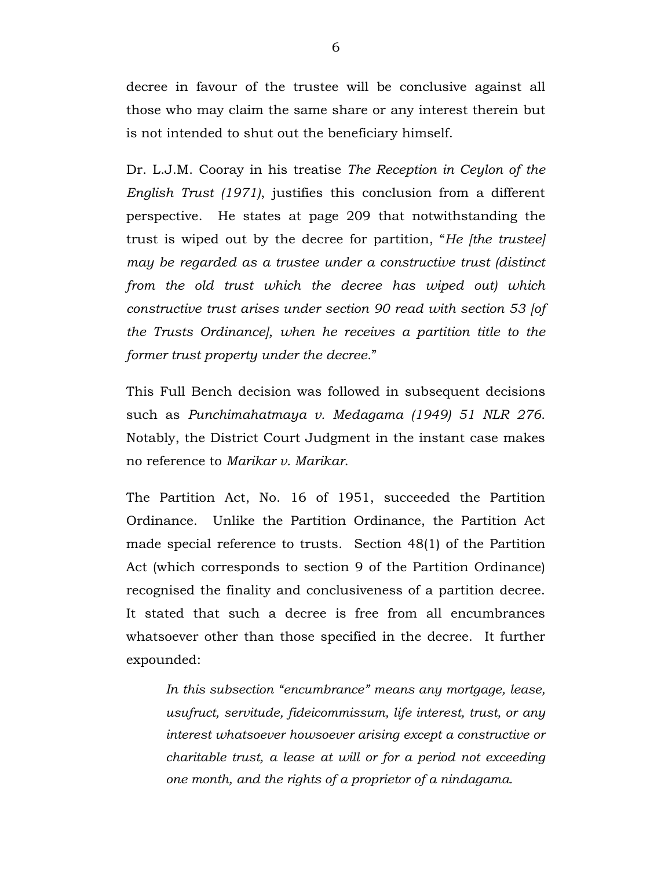decree in favour of the trustee will be conclusive against all those who may claim the same share or any interest therein but is not intended to shut out the beneficiary himself.

Dr. L.J.M. Cooray in his treatise *The Reception in Ceylon of the English Trust (1971)*, justifies this conclusion from a different perspective. He states at page 209 that notwithstanding the trust is wiped out by the decree for partition, "*He [the trustee] may be regarded as a trustee under a constructive trust (distinct from the old trust which the decree has wiped out) which constructive trust arises under section 90 read with section 53 [of the Trusts Ordinance], when he receives a partition title to the former trust property under the decree.*"

This Full Bench decision was followed in subsequent decisions such as *Punchimahatmaya v. Medagama (1949) 51 NLR 276*. Notably, the District Court Judgment in the instant case makes no reference to *Marikar v. Marikar*.

The Partition Act, No. 16 of 1951, succeeded the Partition Ordinance. Unlike the Partition Ordinance, the Partition Act made special reference to trusts. Section 48(1) of the Partition Act (which corresponds to section 9 of the Partition Ordinance) recognised the finality and conclusiveness of a partition decree. It stated that such a decree is free from all encumbrances whatsoever other than those specified in the decree. It further expounded:

*In this subsection "encumbrance" means any mortgage, lease, usufruct, servitude, fideicommissum, life interest, trust, or any interest whatsoever howsoever arising except a constructive or charitable trust, a lease at will or for a period not exceeding one month, and the rights of a proprietor of a nindagama.*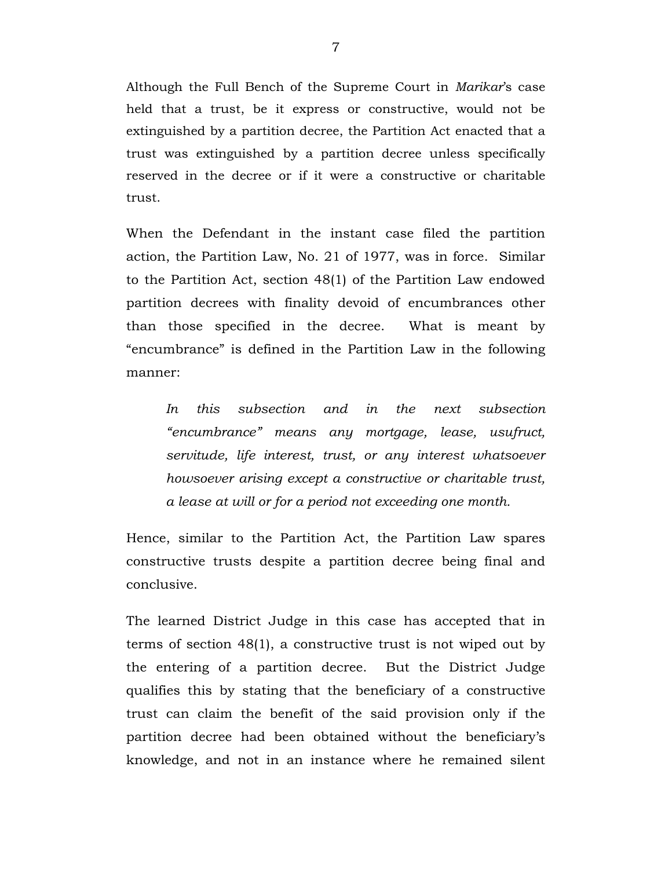Although the Full Bench of the Supreme Court in *Marikar*'s case held that a trust, be it express or constructive, would not be extinguished by a partition decree, the Partition Act enacted that a trust was extinguished by a partition decree unless specifically reserved in the decree or if it were a constructive or charitable trust.

When the Defendant in the instant case filed the partition action, the Partition Law, No. 21 of 1977, was in force. Similar to the Partition Act, section 48(1) of the Partition Law endowed partition decrees with finality devoid of encumbrances other than those specified in the decree. What is meant by "encumbrance" is defined in the Partition Law in the following manner:

*In this subsection and in the next subsection "encumbrance" means any mortgage, lease, usufruct, servitude, life interest, trust, or any interest whatsoever howsoever arising except a constructive or charitable trust, a lease at will or for a period not exceeding one month.*

Hence, similar to the Partition Act, the Partition Law spares constructive trusts despite a partition decree being final and conclusive.

The learned District Judge in this case has accepted that in terms of section 48(1), a constructive trust is not wiped out by the entering of a partition decree. But the District Judge qualifies this by stating that the beneficiary of a constructive trust can claim the benefit of the said provision only if the partition decree had been obtained without the beneficiary's knowledge, and not in an instance where he remained silent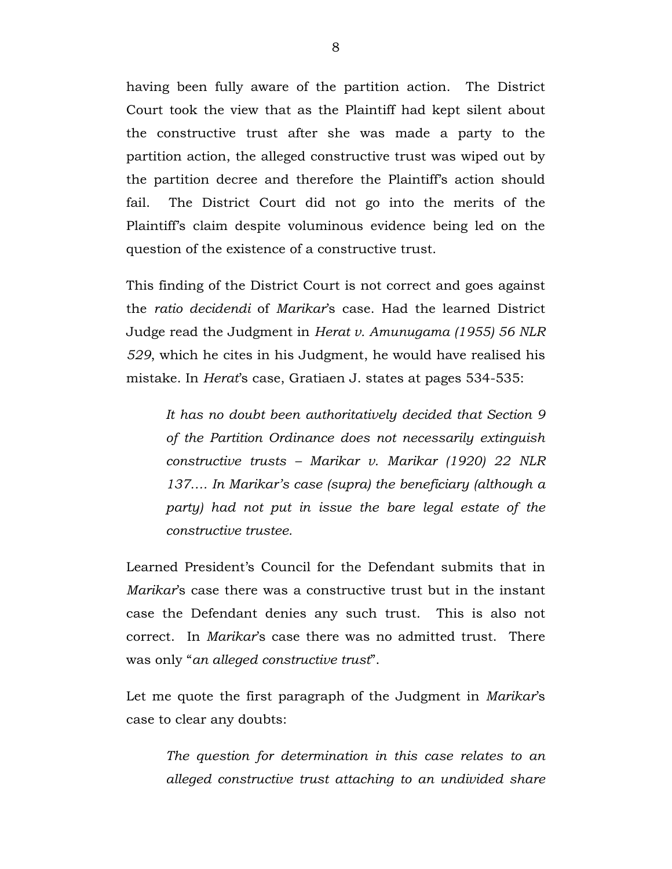having been fully aware of the partition action. The District Court took the view that as the Plaintiff had kept silent about the constructive trust after she was made a party to the partition action, the alleged constructive trust was wiped out by the partition decree and therefore the Plaintiff's action should fail. The District Court did not go into the merits of the Plaintiff's claim despite voluminous evidence being led on the question of the existence of a constructive trust.

This finding of the District Court is not correct and goes against the *ratio decidendi* of *Marikar*'s case. Had the learned District Judge read the Judgment in *Herat v. Amunugama (1955) 56 NLR 529*, which he cites in his Judgment, he would have realised his mistake. In *Herat*'s case, Gratiaen J. states at pages 534-535:

*It has no doubt been authoritatively decided that Section 9 of the Partition Ordinance does not necessarily extinguish constructive trusts – Marikar v. Marikar (1920) 22 NLR 137…. In Marikar's case (supra) the beneficiary (although a party) had not put in issue the bare legal estate of the constructive trustee.*

Learned President's Council for the Defendant submits that in *Marikar*'s case there was a constructive trust but in the instant case the Defendant denies any such trust. This is also not correct. In *Marikar*'s case there was no admitted trust. There was only "*an alleged constructive trust*".

Let me quote the first paragraph of the Judgment in *Marikar*'s case to clear any doubts:

*The question for determination in this case relates to an alleged constructive trust attaching to an undivided share*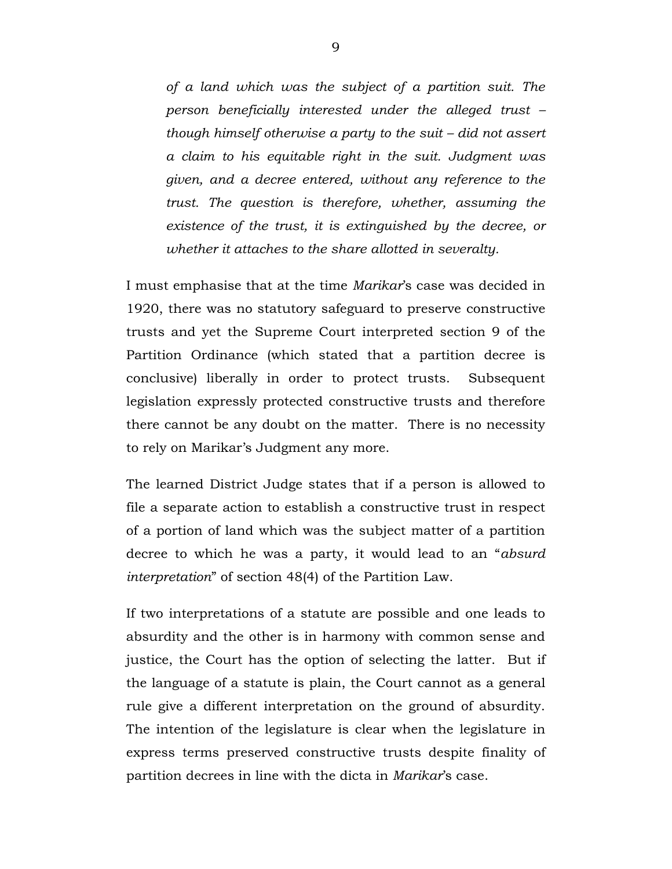*of a land which was the subject of a partition suit. The person beneficially interested under the alleged trust – though himself otherwise a party to the suit – did not assert a claim to his equitable right in the suit. Judgment was given, and a decree entered, without any reference to the trust. The question is therefore, whether, assuming the existence of the trust, it is extinguished by the decree, or whether it attaches to the share allotted in severalty.*

I must emphasise that at the time *Marikar*'s case was decided in 1920, there was no statutory safeguard to preserve constructive trusts and yet the Supreme Court interpreted section 9 of the Partition Ordinance (which stated that a partition decree is conclusive) liberally in order to protect trusts. Subsequent legislation expressly protected constructive trusts and therefore there cannot be any doubt on the matter. There is no necessity to rely on Marikar's Judgment any more.

The learned District Judge states that if a person is allowed to file a separate action to establish a constructive trust in respect of a portion of land which was the subject matter of a partition decree to which he was a party, it would lead to an "*absurd interpretation*" of section 48(4) of the Partition Law.

If two interpretations of a statute are possible and one leads to absurdity and the other is in harmony with common sense and justice, the Court has the option of selecting the latter. But if the language of a statute is plain, the Court cannot as a general rule give a different interpretation on the ground of absurdity. The intention of the legislature is clear when the legislature in express terms preserved constructive trusts despite finality of partition decrees in line with the dicta in *Marikar*'s case.